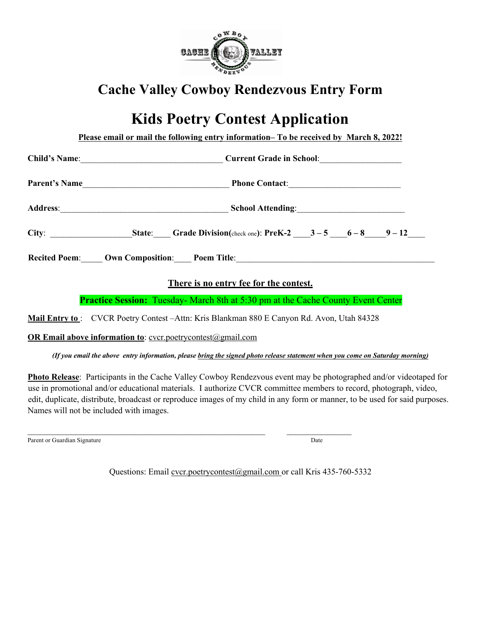

## **Cache Valley Cowboy Rendezvous Entry Form**

## **Kids Poetry Contest Application**

**Please email or mail the following entry information– To be received by March 8, 2022!**

|                      | Current Grade in School:                                           |
|----------------------|--------------------------------------------------------------------|
| <b>Parent's Name</b> |                                                                    |
|                      | School Attending:                                                  |
| City:                | <b>State:</b> Grade Division(check one): PreK-2 $3-5$ $6-8$ $9-12$ |
| <b>Recited Poem:</b> | <b>Own Composition:</b> Poem Title:                                |

## **There is no entry fee for the contest.**

**Practice Session:** Tuesday- March 8th at 5:30 pm at the Cache County Event Center

**Mail Entry to** : CVCR Poetry Contest –Attn: Kris Blankman 880 E Canyon Rd. Avon, Utah 84328

 $\mathcal{L}_\text{max} = \mathcal{L}_\text{max} = \mathcal{L}_\text{max} = \mathcal{L}_\text{max} = \mathcal{L}_\text{max} = \mathcal{L}_\text{max} = \mathcal{L}_\text{max} = \mathcal{L}_\text{max} = \mathcal{L}_\text{max} = \mathcal{L}_\text{max} = \mathcal{L}_\text{max} = \mathcal{L}_\text{max} = \mathcal{L}_\text{max} = \mathcal{L}_\text{max} = \mathcal{L}_\text{max} = \mathcal{L}_\text{max} = \mathcal{L}_\text{max} = \mathcal{L}_\text{max} = \mathcal{$ 

**OR Email above information to:** cvcr.poetrycontest@gmail.com

*(If you email the above entry information, please bring the signed photo release statement when you come on Saturday morning)*

**Photo Release**: Participants in the Cache Valley Cowboy Rendezvous event may be photographed and/or videotaped for use in promotional and/or educational materials. I authorize CVCR committee members to record, photograph, video, edit, duplicate, distribute, broadcast or reproduce images of my child in any form or manner, to be used for said purposes. Names will not be included with images.

Parent or Guardian Signature Date of Guardian Signature Date of Guardian Signature Date of Guardian Signature D

Questions: Email cvcr.poetrycontest@gmail.com or call Kris 435-760-5332